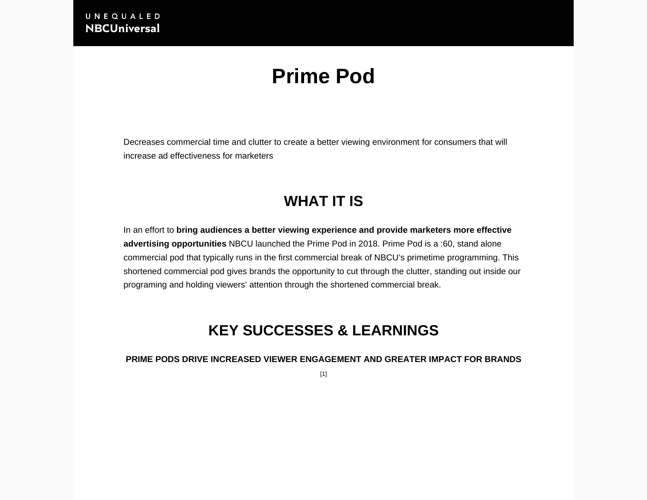# **Prime Pod**

Decreases commercial time and clutter to create a better viewing environment for consumers that will increase ad effectiveness for marketers

# **WHAT IT IS**

In an effort to **bring audiences a better viewing experience and provide marketers more effective advertising opportunities** NBCU launched the Prime Pod in 2018. Prime Pod is a :60, stand alone commercial pod that typically runs in the first commercial break of NBCU's primetime programming. This shortened commercial pod gives brands the opportunity to cut through the clutter, standing out inside our programing and holding viewers' attention through the shortened commercial break.

# **KEY SUCCESSES & LEARNINGS**

**PRIME PODS DRIVE INCREASED VIEWER ENGAGEMENT AND GREATER IMPACT FOR BRANDS**

[1]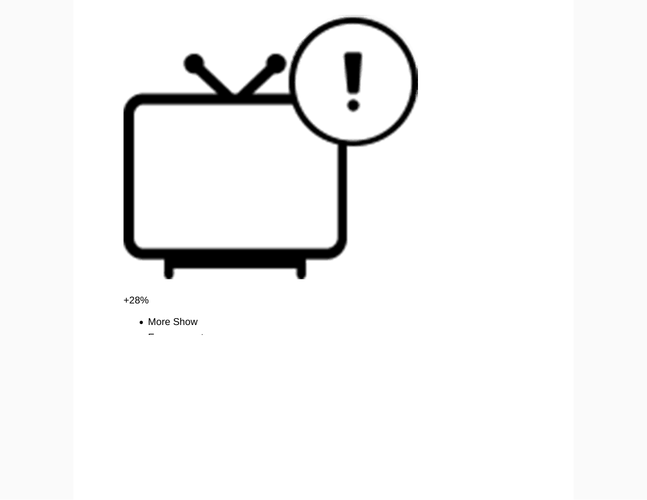

+28%

• More Show

Engagement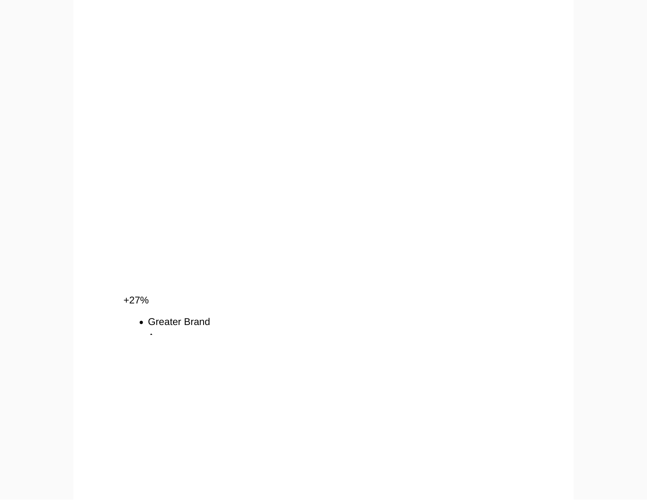+27%

Greater Brand Awareness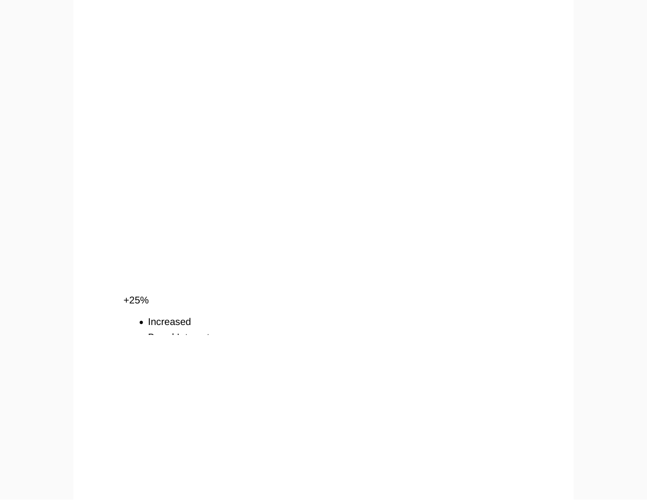+25%

• Increased

 $\mathbf{B}$  is a set of  $\mathbf{B}$  in the  $\mathbf{B}$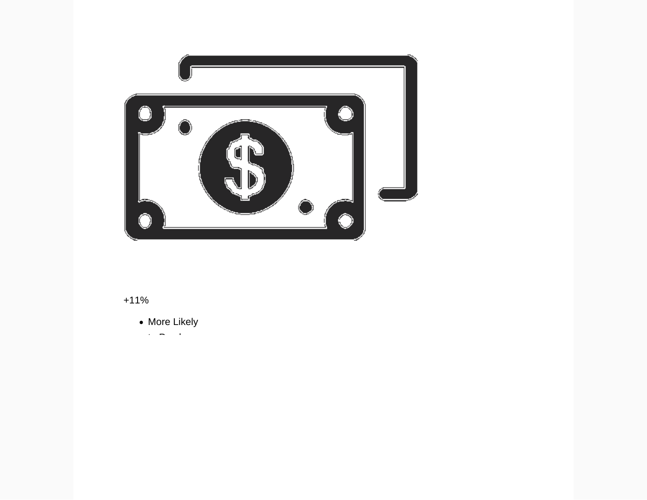

### +11%

- More Likely
- $\alpha$  Purchase Purchase  $\alpha$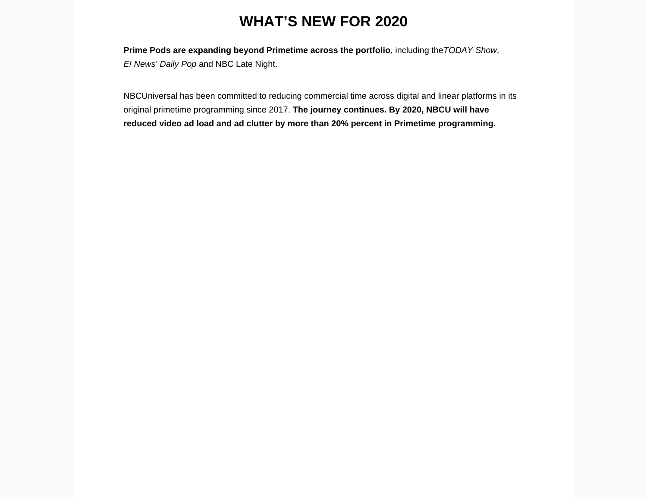# **WHAT'S NEW FOR 2020**

**Prime Pods are expanding beyond Primetime across the portfolio**, including the TODAY Show, E! News' Daily Pop and NBC Late Night.

NBCUniversal has been committed to reducing commercial time across digital and linear platforms in its original primetime programming since 2017. **The journey continues. By 2020, NBCU will have reduced video ad load and ad clutter by more than 20% percent in Primetime programming.**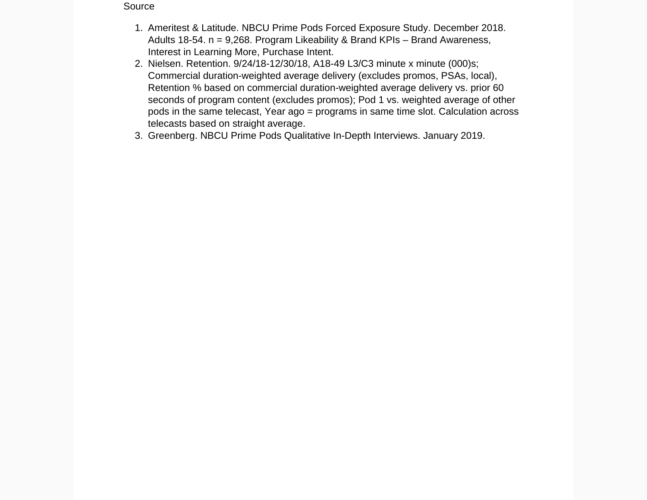#### Source

- 1. Ameritest & Latitude. NBCU Prime Pods Forced Exposure Study. December 2018. Adults 18-54. n = 9,268. Program Likeability & Brand KPIs – Brand Awareness, Interest in Learning More, Purchase Intent.
- 2. Nielsen. Retention. 9/24/18-12/30/18, A18-49 L3/C3 minute x minute (000)s; Commercial duration-weighted average delivery (excludes promos, PSAs, local), Retention % based on commercial duration-weighted average delivery vs. prior 60 seconds of program content (excludes promos); Pod 1 vs. weighted average of other pods in the same telecast, Year ago = programs in same time slot. Calculation across telecasts based on straight average.
- 3. Greenberg. NBCU Prime Pods Qualitative In-Depth Interviews. January 2019.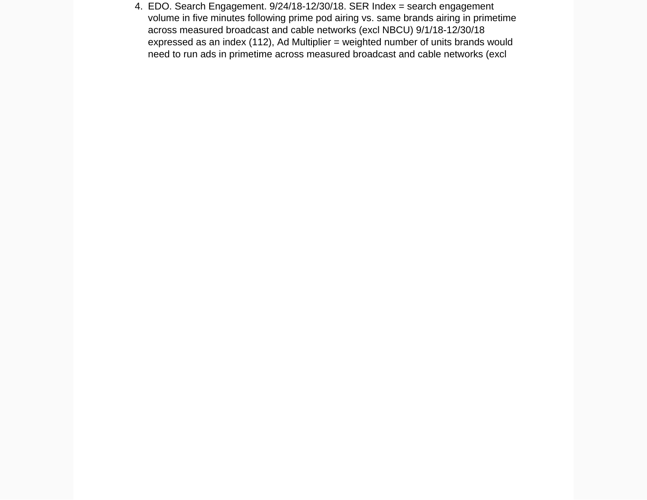4. EDO. Search Engagement. 9/24/18-12/30/18. SER Index = search engagement volume in five minutes following prime pod airing vs. same brands airing in primetime across measured broadcast and cable networks (excl NBCU) 9/1/18-12/30/18 expressed as an index (112), Ad Multiplier = weighted number of units brands would need to run ads in primetime across measured broadcast and cable networks (excl